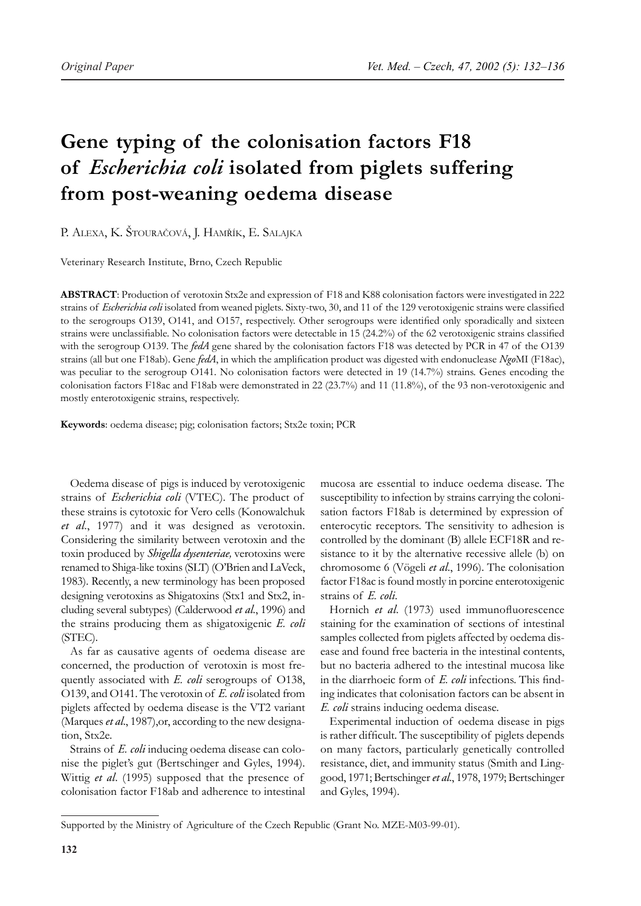# **Gene typing of the colonisation factors F18 of** *Escherichia coli* **isolated from piglets suffering from post-weaning oedema disease**

P. ALEXA, K. ŠTOURAČOVÁ, J. HAMŘÍK, E. SALAJKA

Veterinary Research Institute, Brno, Czech Republic

**ABSTRACT**: Production of verotoxin Stx2e and expression of F18 and K88 colonisation factors were investigated in 222 strains of *Escherichia coli* isolated from weaned piglets. Sixty-two, 30, and 11 of the 129 verotoxigenic strains were classified to the serogroups O139, O141, and O157, respectively. Other serogroups were identified only sporadically and sixteen strains were unclassifiable. No colonisation factors were detectable in 15 (24.2%) of the 62 verotoxigenic strains classified with the serogroup O139. The *fedA* gene shared by the colonisation factors F18 was detected by PCR in 47 of the O139 strains (all but one F18ab). Gene *fedA*, in which the amplification product was digested with endonuclease *Ngo*MI (F18ac), was peculiar to the serogroup O141. No colonisation factors were detected in 19 (14.7%) strains. Genes encoding the colonisation factors F18ac and F18ab were demonstrated in 22 (23.7%) and 11 (11.8%), of the 93 non-verotoxigenic and mostly enterotoxigenic strains, respectively.

**Keywords**: oedema disease; pig; colonisation factors; Stx2e toxin; PCR

Oedema disease of pigs is induced by verotoxigenic strains of *Escherichia coli* (VTEC). The product of these strains is cytotoxic for Vero cells (Konowalchuk *et al*., 1977) and it was designed as verotoxin. Considering the similarity between verotoxin and the toxin produced by *Shigella dysenteriae,* verotoxins were renamed to Shiga-like toxins (SLT) (O'Brien and LaVeck, 1983). Recently, a new terminology has been proposed designing verotoxins as Shigatoxins (Stx1 and Stx2, including several subtypes) (Calderwood *et al*., 1996) and the strains producing them as shigatoxigenic *E. coli* (STEC).

As far as causative agents of oedema disease are concerned, the production of verotoxin is most frequently associated with *E. coli* serogroups of O138, O139, and O141. The verotoxin of *E. coli* isolated from piglets affected by oedema disease is the VT2 variant (Marques *et al*., 1987),or, according to the new designation, Stx2e.

Strains of *E. coli* inducing oedema disease can colonise the piglet's gut (Bertschinger and Gyles, 1994). Wittig *et al*. (1995) supposed that the presence of colonisation factor F18ab and adherence to intestinal mucosa are essential to induce oedema disease. The susceptibility to infection by strains carrying the colonisation factors F18ab is determined by expression of enterocytic receptors. The sensitivity to adhesion is controlled by the dominant (B) allele ECF18R and resistance to it by the alternative recessive allele (b) on chromosome 6 (Vögeli *et al*., 1996). The colonisation factor F18ac is found mostly in porcine enterotoxigenic strains of *E. coli*.

Hornich *et al*. (1973) used immunofluorescence staining for the examination of sections of intestinal samples collected from piglets affected by oedema disease and found free bacteria in the intestinal contents, but no bacteria adhered to the intestinal mucosa like in the diarrhoeic form of *E. coli* infections. This finding indicates that colonisation factors can be absent in *E. coli* strains inducing oedema disease.

Experimental induction of oedema disease in pigs is rather difficult. The susceptibility of piglets depends on many factors, particularly genetically controlled resistance, diet, and immunity status (Smith and Linggood, 1971; Bertschinger *et al*., 1978, 1979; Bertschinger and Gyles, 1994).

Supported by the Ministry of Agriculture of the Czech Republic (Grant No. MZE-M03-99-01).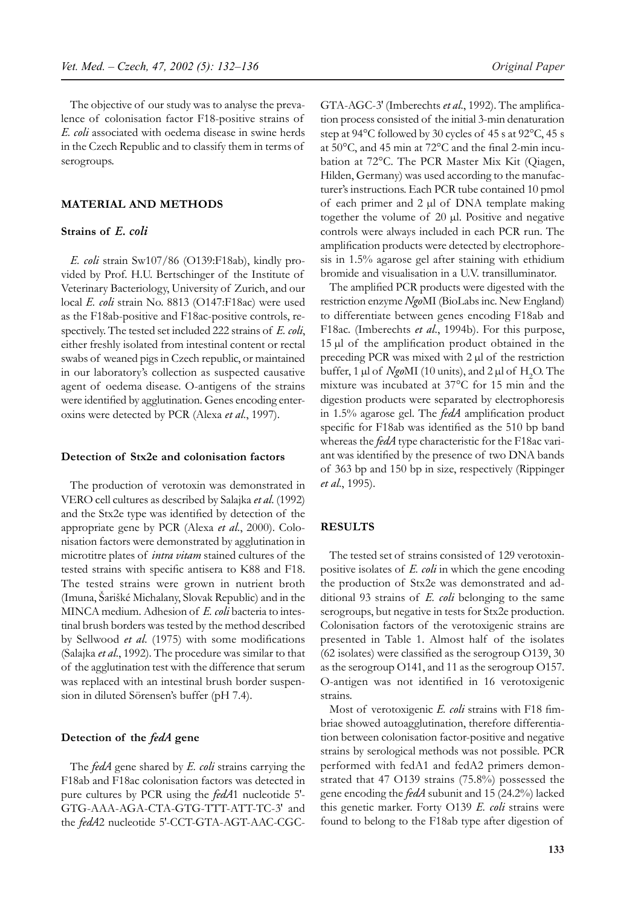The objective of our study was to analyse the prevalence of colonisation factor F18-positive strains of *E. coli* associated with oedema disease in swine herds in the Czech Republic and to classify them in terms of serogroups.

# **MATERIAL AND METHODS**

# **Strains of** *E. coli*

*E. coli* strain Sw107/86 (O139:F18ab), kindly provided by Prof. H.U. Bertschinger of the Institute of Veterinary Bacteriology, University of Zurich, and our local *E. coli* strain No. 8813 (O147:F18ac) were used as the F18ab-positive and F18ac-positive controls, respectively. The tested set included 222 strains of *E. coli*, either freshly isolated from intestinal content or rectal swabs of weaned pigs in Czech republic, or maintained in our laboratory's collection as suspected causative agent of oedema disease. O-antigens of the strains were identified by agglutination. Genes encoding enteroxins were detected by PCR (Alexa *et al*., 1997).

# **Detection of Stx2e and colonisation factors**

The production of verotoxin was demonstrated in VERO cell cultures as described by Salajka *et al*. (1992) and the Stx2e type was identified by detection of the appropriate gene by PCR (Alexa *et al*., 2000). Colonisation factors were demonstrated by agglutination in microtitre plates of *intra vitam* stained cultures of the tested strains with specific antisera to K88 and F18. The tested strains were grown in nutrient broth (Imuna, Šarišké Michalany, Slovak Republic) and in the MINCA medium. Adhesion of *E. coli* bacteria to intestinal brush borders was tested by the method described by Sellwood *et al*. (1975) with some modifications (Salajka *et al*., 1992). The procedure was similar to that of the agglutination test with the difference that serum was replaced with an intestinal brush border suspension in diluted Sörensen's buffer (pH 7.4).

# **Detection of the** *fedA* **gene**

The *fedA* gene shared by *E. coli* strains carrying the F18ab and F18ac colonisation factors was detected in pure cultures by PCR using the *fedA*1 nucleotide 5′- GTG-AAA-AGA-CTA-GTG-TTT-ATT-TC-3′ and the *fedA*2 nucleotide 5′-CCT-GTA-AGT-AAC-CGC- GTA-AGC-3′ (Imberechts *et al*., 1992). The amplification process consisted of the initial 3-min denaturation step at 94°C followed by 30 cycles of 45 s at 92°C, 45 s at 50°C, and 45 min at 72°C and the final 2-min incubation at 72°C. The PCR Master Mix Kit (Qiagen, Hilden, Germany) was used according to the manufacturer's instructions. Each PCR tube contained 10 pmol of each primer and 2 µl of DNA template making together the volume of 20 µl. Positive and negative controls were always included in each PCR run. The amplification products were detected by electrophoresis in 1.5% agarose gel after staining with ethidium bromide and visualisation in a U.V. transilluminator.

The amplified PCR products were digested with the restriction enzyme *Ngo*MI (BioLabs inc. New England) to differentiate between genes encoding F18ab and F18ac. (Imberechts *et al*., 1994b). For this purpose, 15 µl of the amplification product obtained in the preceding PCR was mixed with 2 µl of the restriction buffer, 1  $\mu$ l of *Ngo*MI (10 units), and 2  $\mu$ l of H<sub>2</sub>O. The mixture was incubated at 37°C for 15 min and the digestion products were separated by electrophoresis in 1.5% agarose gel. The *fedA* amplification product specific for F18ab was identified as the 510 bp band whereas the *fedA* type characteristic for the F18ac variant was identified by the presence of two DNA bands of 363 bp and 150 bp in size, respectively (Rippinger *et al*., 1995).

#### **RESULTS**

The tested set of strains consisted of 129 verotoxinpositive isolates of *E. coli* in which the gene encoding the production of Stx2e was demonstrated and additional 93 strains of *E. coli* belonging to the same serogroups, but negative in tests for Stx2e production. Colonisation factors of the verotoxigenic strains are presented in Table 1. Almost half of the isolates (62 isolates) were classified as the serogroup O139, 30 as the serogroup O141, and 11 as the serogroup O157. O-antigen was not identified in 16 verotoxigenic strains.

Most of verotoxigenic *E. coli* strains with F18 fimbriae showed autoagglutination, therefore differentiation between colonisation factor-positive and negative strains by serological methods was not possible. PCR performed with fedA1 and fedA2 primers demonstrated that 47 O139 strains (75.8%) possessed the gene encoding the *fedA* subunit and 15 (24.2%) lacked this genetic marker. Forty O139 *E. coli* strains were found to belong to the F18ab type after digestion of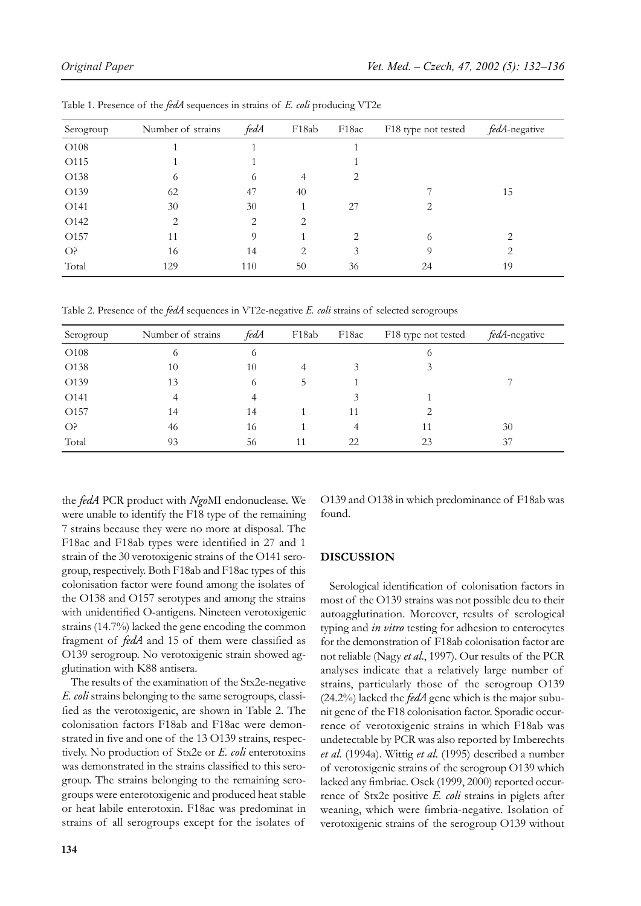| Serogroup        | Number of strains | fedA | F18ab | F <sub>18ac</sub> | F18 type not tested | fedA-negative                 |
|------------------|-------------------|------|-------|-------------------|---------------------|-------------------------------|
| O108             |                   |      |       |                   |                     |                               |
| O115             |                   |      |       |                   |                     |                               |
| O138             | 6                 | 6    | 4     | 2                 |                     |                               |
| O139             | 62                | 47   | 40    |                   |                     | 15                            |
| O <sub>141</sub> | 30                | 30   |       | 27                | 2                   |                               |
| O142             | 2                 | 2    | 2     |                   |                     |                               |
| O157             | 11                | 9    |       | 2                 | 6                   | $\mathfrak{D}_{\mathfrak{p}}$ |
| O <sub>5</sub>   | 16                | 14   | 2     | 3                 | 9                   | 2                             |
| Total            | 129               | 110  | 50    | 36                | 24                  | 19                            |

Table 1. Presence of the *fedA* sequences in strains of *E. coli* producing VT2e

Table 2. Presence of the *fedA* sequences in VT2e-negative *E. coli* strains of selected serogroups

| Serogroup        | Number of strains | fedA | F18ab | F <sub>18ac</sub> | F18 type not tested | fedA-negative |
|------------------|-------------------|------|-------|-------------------|---------------------|---------------|
| O108             | 6                 | 6    |       |                   | O                   |               |
| O <sub>138</sub> | 10                | 10   | 4     | 3                 | 3                   |               |
| O139             | 13                | 6    |       |                   |                     |               |
| O141             | 4                 | 4    |       | 3                 |                     |               |
| O157             | 14                | 14   |       | 11                | っ                   |               |
| O <sub>5</sub>   | 46                | 16   |       | 4                 | 11                  | 30            |
| Total            | 93                | 56   | 11    | 22                | 23                  | 37            |

the *fedA* PCR product with *Ngo*MI endonuclease. We were unable to identify the F18 type of the remaining 7 strains because they were no more at disposal. The F18ac and F18ab types were identified in 27 and 1 strain of the 30 verotoxigenic strains of the O141 serogroup, respectively. Both F18ab and F18ac types of this colonisation factor were found among the isolates of the O138 and O157 serotypes and among the strains with unidentified O-antigens. Nineteen verotoxigenic strains (14.7%) lacked the gene encoding the common fragment of *fedA* and 15 of them were classified as O139 serogroup. No verotoxigenic strain showed agglutination with K88 antisera.

The results of the examination of the Stx2e-negative *E. coli* strains belonging to the same serogroups, classified as the verotoxigenic, are shown in Table 2. The colonisation factors F18ab and F18ac were demonstrated in five and one of the 13 O139 strains, respectively. No production of Stx2e or *E. coli* enterotoxins was demonstrated in the strains classified to this serogroup. The strains belonging to the remaining serogroups were enterotoxigenic and produced heat stable or heat labile enterotoxin. F18ac was predominat in strains of all serogroups except for the isolates of

**134**

O139 and O138 in which predominance of F18ab was found.

# **DISCUSSION**

Serological identification of colonisation factors in most of the O139 strains was not possible deu to their autoagglutination. Moreover, results of serological typing and *in vitro* testing for adhesion to enterocytes for the demonstration of F18ab colonisation factor are not reliable (Nagy *et al*., 1997). Our results of the PCR analyses indicate that a relatively large number of strains, particularly those of the serogroup O139 (24.2%) lacked the *fedA* gene which is the major subunit gene of the F18 colonisation factor. Sporadic occurrence of verotoxigenic strains in which F18ab was undetectable by PCR was also reported by Imberechts *et al*. (1994a). Wittig *et al*. (1995) described a number of verotoxigenic strains of the serogroup O139 which lacked any fimbriae. Osek (1999, 2000) reported occurrence of Stx2e positive *E. coli* strains in piglets after weaning, which were fimbria-negative. Isolation of verotoxigenic strains of the serogroup O139 without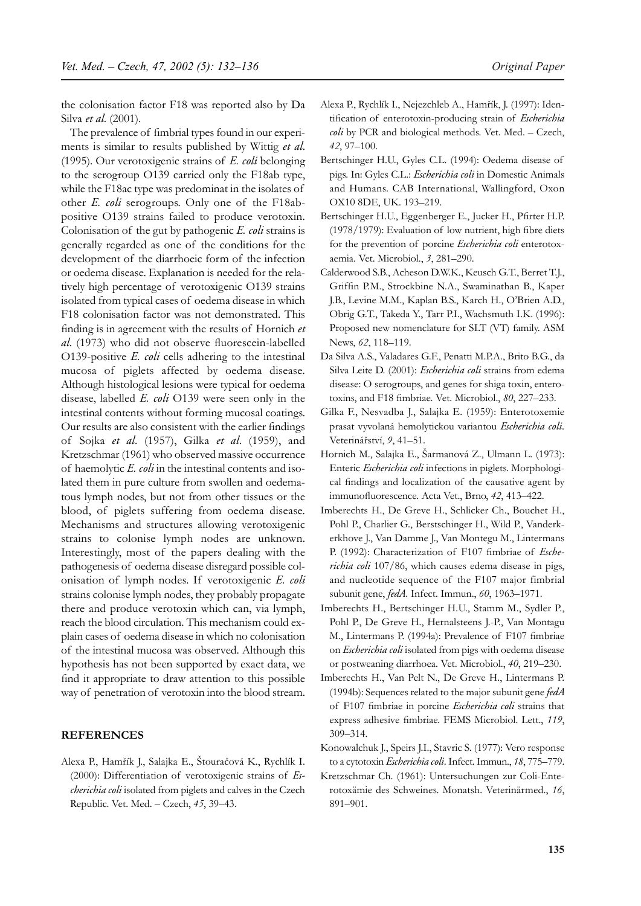the colonisation factor F18 was reported also by Da Silva *et al*. (2001).

The prevalence of fimbrial types found in our experiments is similar to results published by Wittig *et al*. (1995). Our verotoxigenic strains of *E. coli* belonging to the serogroup O139 carried only the F18ab type, while the F18ac type was predominat in the isolates of other *E. coli* serogroups. Only one of the F18abpositive O139 strains failed to produce verotoxin. Colonisation of the gut by pathogenic *E. coli* strains is generally regarded as one of the conditions for the development of the diarrhoeic form of the infection or oedema disease. Explanation is needed for the relatively high percentage of verotoxigenic O139 strains isolated from typical cases of oedema disease in which F18 colonisation factor was not demonstrated. This finding is in agreement with the results of Hornich *et al*. (1973) who did not observe fluorescein-labelled O139-positive *E. coli* cells adhering to the intestinal mucosa of piglets affected by oedema disease*.*  Although histological lesions were typical for oedema disease, labelled *E. coli* O139 were seen only in the intestinal contents without forming mucosal coatings. Our results are also consistent with the earlier findings of Sojka *et al*. (1957), Gilka *et al*. (1959), and Kretzschmar (1961) who observed massive occurrence of haemolytic *E. coli* in the intestinal contents and isolated them in pure culture from swollen and oedematous lymph nodes, but not from other tissues or the blood, of piglets suffering from oedema disease. Mechanisms and structures allowing verotoxigenic strains to colonise lymph nodes are unknown. Interestingly, most of the papers dealing with the pathogenesis of oedema disease disregard possible colonisation of lymph nodes. If verotoxigenic *E. coli* strains colonise lymph nodes, they probably propagate there and produce verotoxin which can, via lymph, reach the blood circulation. This mechanism could explain cases of oedema disease in which no colonisation of the intestinal mucosa was observed. Although this hypothesis has not been supported by exact data, we find it appropriate to draw attention to this possible way of penetration of verotoxin into the blood stream.

# **REFERENCES**

Alexa P., Hamřík J., Salajka E., Štouračová K., Rychlík I. (2000): Differentiation of verotoxigenic strains of *Escherichia coli* isolated from piglets and calves in the Czech Republic. Vet. Med. – Czech, *45*, 39–43.

- Alexa P., Rychlík I., Nejezchleb A., Hamřík, J. (1997): Identification of enterotoxin-producing strain of *Escherichia coli* by PCR and biological methods. Vet. Med. – Czech, *42*, 97–100.
- Bertschinger H.U., Gyles C.L. (1994): Oedema disease of pigs. In: Gyles C.L.: *Escherichia coli* in Domestic Animals and Humans. CAB International, Wallingford, Oxon OX10 8DE, UK. 193–219.
- Bertschinger H.U., Eggenberger E., Jucker H., Pfirter H.P. (1978/1979): Evaluation of low nutrient, high fibre diets for the prevention of porcine *Escherichia coli* enterotoxaemia. Vet. Microbiol., *3*, 281–290.
- Calderwood S.B., Acheson D.W.K., Keusch G.T., Berret T.J., Griffin P.M., Strockbine N.A., Swaminathan B., Kaper J.B., Levine M.M., Kaplan B.S., Karch H., O'Brien A.D., Obrig G.T., Takeda Y., Tarr P.I., Wachsmuth I.K. (1996): Proposed new nomenclature for SLT (VT) family. ASM News, *62*, 118–119.
- Da Silva A.S., Valadares G.F., Penatti M.P.A., Brito B.G., da Silva Leite D. (2001): *Escherichia coli* strains from edema disease: O serogroups, and genes for shiga toxin, enterotoxins, and F18 fimbriae. Vet. Microbiol., *80*, 227–233.
- Gilka F., Nesvadba J., Salajka E. (1959): Enterotoxemie prasat vyvolaná hemolytickou variantou *Escherichia coli*. Veterinářství, *9*, 41–51.
- Hornich M., Salajka E., Šarmanová Z., Ulmann L. (1973): Enteric *Escherichia coli* infections in piglets. Morphological findings and localization of the causative agent by immunofluorescence. Acta Vet., Brno, *42*, 413–422.
- Imberechts H., De Greve H., Schlicker Ch., Bouchet H., Pohl P., Charlier G., Berstschinger H., Wild P., Vanderkerkhove J., Van Damme J., Van Montegu M., Lintermans P. (1992): Characterization of F107 fimbriae of *Escherichia coli* 107/86, which causes edema disease in pigs, and nucleotide sequence of the F107 major fimbrial subunit gene, *fedA*. Infect. Immun., *60*, 1963–1971.
- Imberechts H., Bertschinger H.U., Stamm M., Sydler P., Pohl P., De Greve H., Hernalsteens J.-P., Van Montagu M., Lintermans P. (1994a): Prevalence of F107 fimbriae on *Escherichia coli* isolated from pigs with oedema disease or postweaning diarrhoea. Vet. Microbiol., *40*, 219–230.
- Imberechts H., Van Pelt N., De Greve H., Lintermans P. (1994b): Sequences related to the major subunit gene *fedA* of F107 fimbriae in porcine *Escherichia coli* strains that express adhesive fimbriae. FEMS Microbiol. Lett., *119*, 309–314.
- Konowalchuk J., Speirs J.I., Stavric S. (1977): Vero response to a cytotoxin *Escherichia coli*.Infect. Immun., *18*, 775–779.
- Kretzschmar Ch. (1961): Untersuchungen zur Coli-Enterotoxämie des Schweines. Monatsh. Veterinärmed., *16*, 891–901.